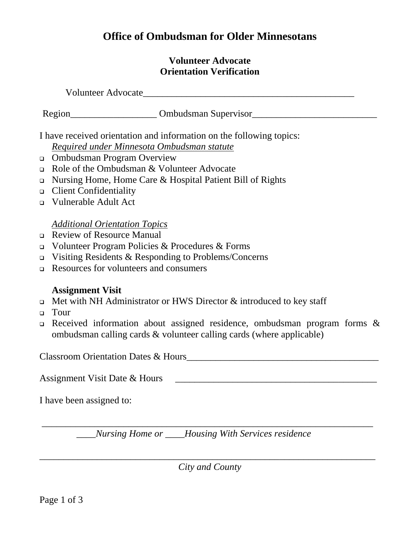## **Office of Ombudsman for Older Minnesotans**

## **Volunteer Advocate Orientation Verification**

Volunteer Advocate\_\_\_\_\_\_\_\_\_\_\_\_\_\_\_\_\_\_\_\_\_\_\_\_\_\_\_\_\_\_\_\_\_\_\_\_\_\_\_\_\_\_\_\_ Region\_\_\_\_\_\_\_\_\_\_\_\_\_\_\_\_\_\_ Ombudsman Supervisor\_\_\_\_\_\_\_\_\_\_\_\_\_\_\_\_\_\_\_\_\_\_\_\_\_\_ I have received orientation and information on the following topics:

*Required under Minnesota Ombudsman statute*

- Ombudsman Program Overview
- Role of the Ombudsman & Volunteer Advocate
- Nursing Home, Home Care & Hospital Patient Bill of Rights
- Client Confidentiality
- Vulnerable Adult Act

## *Additional Orientation Topics*

- Review of Resource Manual
- $\Box$  Volunteer Program Policies & Procedures & Forms
- $\Box$  Visiting Residents & Responding to Problems/Concerns
- Resources for volunteers and consumers

## **Assignment Visit**

- $\Box$  Met with NH Administrator or HWS Director & introduced to key staff
- n Tour
- Received information about assigned residence, ombudsman program forms & ombudsman calling cards & volunteer calling cards (where applicable)

Classroom Orientation Dates & Hours\_\_\_\_\_\_\_\_\_\_\_\_\_\_\_\_\_\_\_\_\_\_\_\_\_\_\_\_\_\_\_\_\_\_\_\_\_\_\_\_

Assignment Visit Date & Hours \_\_\_\_\_\_\_\_\_\_\_\_\_\_\_\_\_\_\_\_\_\_\_\_\_\_\_\_\_\_\_\_\_\_\_\_\_\_\_\_\_\_

I have been assigned to:

\_\_\_\_*Nursing Home or \_\_\_\_Housing With Services residence* 

\_\_\_\_\_\_\_\_\_\_\_\_\_\_\_\_\_\_\_\_\_\_\_\_\_\_\_\_\_\_\_\_\_\_\_\_\_\_\_\_\_\_\_\_\_\_\_\_\_\_\_\_\_\_\_\_\_\_\_\_\_\_\_\_\_\_\_\_\_

\_\_\_\_\_\_\_\_\_\_\_\_\_\_\_\_\_\_\_\_\_\_\_\_\_\_\_\_\_\_\_\_\_\_\_\_\_\_\_\_\_\_\_\_\_\_\_\_\_\_\_\_\_\_\_\_\_\_\_\_\_\_\_\_\_\_\_\_\_\_ *City and County*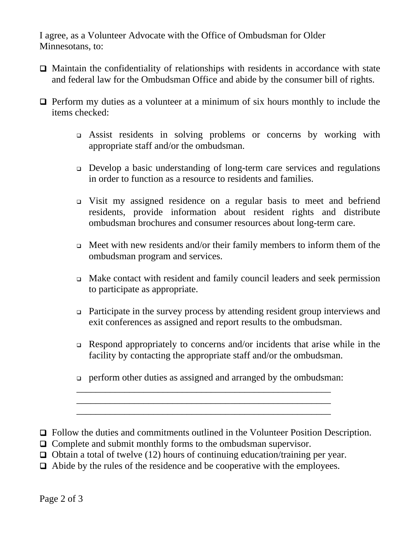I agree, as a Volunteer Advocate with the Office of Ombudsman for Older Minnesotans, to:

- $\Box$  Maintain the confidentiality of relationships with residents in accordance with state and federal law for the Ombudsman Office and abide by the consumer bill of rights.
- $\Box$  Perform my duties as a volunteer at a minimum of six hours monthly to include the items checked:
	- Assist residents in solving problems or concerns by working with appropriate staff and/or the ombudsman.
	- Develop a basic understanding of long-term care services and regulations in order to function as a resource to residents and families.
	- Visit my assigned residence on a regular basis to meet and befriend residents, provide information about resident rights and distribute ombudsman brochures and consumer resources about long-term care.
	- $\Box$  Meet with new residents and/or their family members to inform them of the ombudsman program and services.
	- Make contact with resident and family council leaders and seek permission to participate as appropriate.
	- Participate in the survey process by attending resident group interviews and exit conferences as assigned and report results to the ombudsman.
	- Respond appropriately to concerns and/or incidents that arise while in the facility by contacting the appropriate staff and/or the ombudsman.
	- perform other duties as assigned and arranged by the ombudsman:
- Follow the duties and commitments outlined in the Volunteer Position Description.
- □ Complete and submit monthly forms to the ombudsman supervisor.
- $\Box$  Obtain a total of twelve (12) hours of continuing education/training per year.

 $\frac{1}{2}$  ,  $\frac{1}{2}$  ,  $\frac{1}{2}$  ,  $\frac{1}{2}$  ,  $\frac{1}{2}$  ,  $\frac{1}{2}$  ,  $\frac{1}{2}$  ,  $\frac{1}{2}$  ,  $\frac{1}{2}$  ,  $\frac{1}{2}$  ,  $\frac{1}{2}$  ,  $\frac{1}{2}$  ,  $\frac{1}{2}$  ,  $\frac{1}{2}$  ,  $\frac{1}{2}$  ,  $\frac{1}{2}$  ,  $\frac{1}{2}$  ,  $\frac{1}{2}$  ,  $\frac{1$  $\overline{\phantom{a}}$  ,  $\overline{\phantom{a}}$  ,  $\overline{\phantom{a}}$  ,  $\overline{\phantom{a}}$  ,  $\overline{\phantom{a}}$  ,  $\overline{\phantom{a}}$  ,  $\overline{\phantom{a}}$  ,  $\overline{\phantom{a}}$  ,  $\overline{\phantom{a}}$  ,  $\overline{\phantom{a}}$  ,  $\overline{\phantom{a}}$  ,  $\overline{\phantom{a}}$  ,  $\overline{\phantom{a}}$  ,  $\overline{\phantom{a}}$  ,  $\overline{\phantom{a}}$  ,  $\overline{\phantom{a}}$  $\overline{\phantom{a}}$  ,  $\overline{\phantom{a}}$  ,  $\overline{\phantom{a}}$  ,  $\overline{\phantom{a}}$  ,  $\overline{\phantom{a}}$  ,  $\overline{\phantom{a}}$  ,  $\overline{\phantom{a}}$  ,  $\overline{\phantom{a}}$  ,  $\overline{\phantom{a}}$  ,  $\overline{\phantom{a}}$  ,  $\overline{\phantom{a}}$  ,  $\overline{\phantom{a}}$  ,  $\overline{\phantom{a}}$  ,  $\overline{\phantom{a}}$  ,  $\overline{\phantom{a}}$  ,  $\overline{\phantom{a}}$ 

Abide by the rules of the residence and be cooperative with the employees.